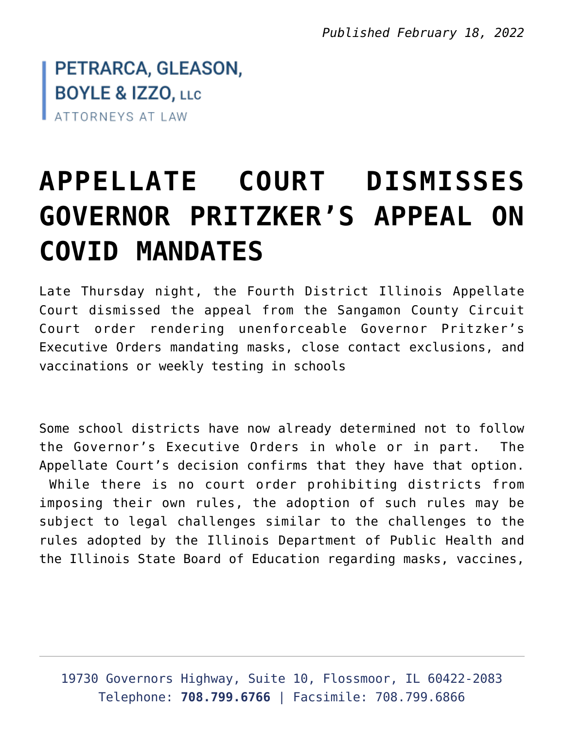*Published February 18, 2022*

PETRARCA, GLEASON, **BOYLE & IZZO, LLC** ATTORNEYS AT LAW

## **[APPELLATE COURT DISMISSES](https://petrarcagleason.com/all/2022/02/appellate-court-dismisses-governor-pritzkers-appeal-on-covid-mandates/) [GOVERNOR PRITZKER'S APPEAL ON](https://petrarcagleason.com/all/2022/02/appellate-court-dismisses-governor-pritzkers-appeal-on-covid-mandates/) [COVID MANDATES](https://petrarcagleason.com/all/2022/02/appellate-court-dismisses-governor-pritzkers-appeal-on-covid-mandates/)**

Late Thursday night, the Fourth District Illinois Appellate Court dismissed the appeal from the Sangamon County Circuit Court order rendering unenforceable Governor Pritzker's Executive Orders mandating masks, close contact exclusions, and vaccinations or weekly testing in schools

Some school districts have now already determined not to follow the Governor's Executive Orders in whole or in part. The Appellate Court's decision confirms that they have that option. While there is no court order prohibiting districts from imposing their own rules, the adoption of such rules may be subject to legal challenges similar to the challenges to the rules adopted by the Illinois Department of Public Health and the Illinois State Board of Education regarding masks, vaccines,

19730 Governors Highway, Suite 10, Flossmoor, IL 60422-2083 Telephone: **708.799.6766** | Facsimile: 708.799.6866